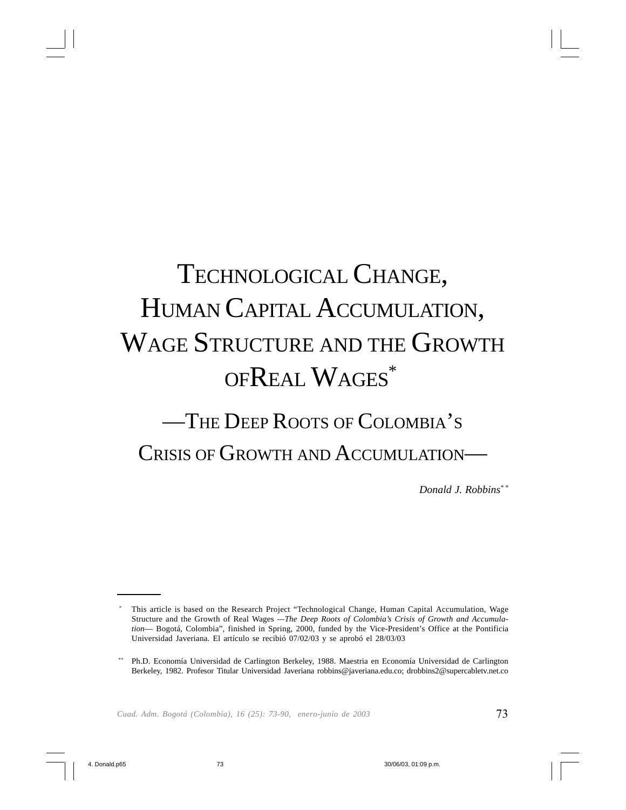# TECHNOLOGICAL CHANGE, HUMAN CAPITAL ACCUMULATION, WAGE STRUCTURE AND THE GROWTH OFREAL WAGES\*

## —THE DEEP ROOTS OF COLOMBIA'S CRISIS OF GROWTH AND ACCUMULATION—

*Donald J. Robbins\* \**

This article is based on the Research Project "Technological Change, Human Capital Accumulation, Wage Structure and the Growth of Real Wages *—The Deep Roots of Colombia's Crisis of Growth and Accumulation*— Bogotá, Colombia", finished in Spring, 2000, funded by the Vice-President's Office at the Pontificia Universidad Javeriana. El artículo se recibió 07/02/03 y se aprobó el 28/03/03

<sup>\*\*</sup> Ph.D. Economía Universidad de Carlington Berkeley, 1988. Maestria en Economía Universidad de Carlington Berkeley, 1982. Profesor Titular Universidad Javeriana robbins@javeriana.edu.co; drobbins2@supercabletv.net.co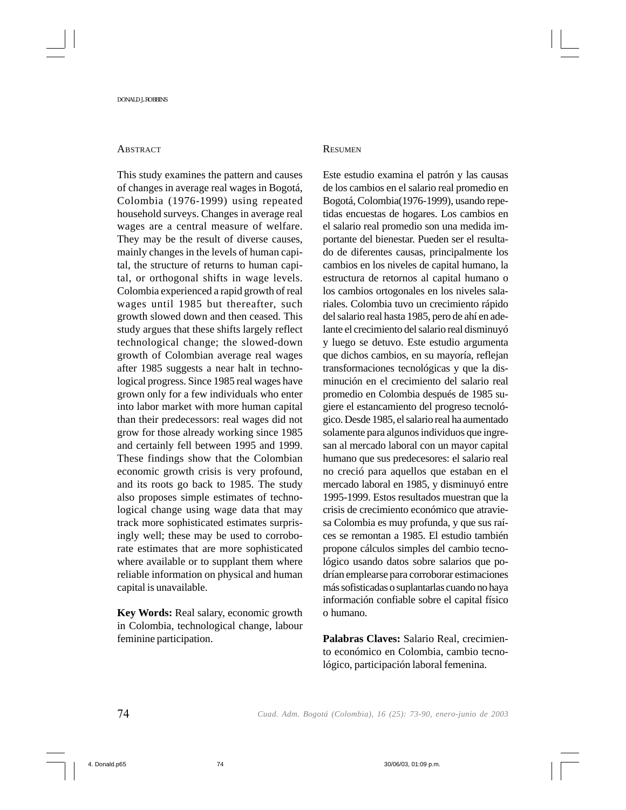## **ABSTRACT**

This study examines the pattern and causes of changes in average real wages in Bogotá, Colombia (1976-1999) using repeated household surveys. Changes in average real wages are a central measure of welfare. They may be the result of diverse causes, mainly changes in the levels of human capital, the structure of returns to human capital, or orthogonal shifts in wage levels. Colombia experienced a rapid growth of real wages until 1985 but thereafter, such growth slowed down and then ceased. This study argues that these shifts largely reflect technological change; the slowed-down growth of Colombian average real wages after 1985 suggests a near halt in technological progress. Since 1985 real wages have grown only for a few individuals who enter into labor market with more human capital than their predecessors: real wages did not grow for those already working since 1985 and certainly fell between 1995 and 1999. These findings show that the Colombian economic growth crisis is very profound, and its roots go back to 1985. The study also proposes simple estimates of technological change using wage data that may track more sophisticated estimates surprisingly well; these may be used to corroborate estimates that are more sophisticated where available or to supplant them where reliable information on physical and human capital is unavailable.

**Key Words:** Real salary, economic growth in Colombia, technological change, labour feminine participation.

## **RESUMEN**

Este estudio examina el patrón y las causas de los cambios en el salario real promedio en Bogotá, Colombia(1976-1999), usando repetidas encuestas de hogares. Los cambios en el salario real promedio son una medida importante del bienestar. Pueden ser el resultado de diferentes causas, principalmente los cambios en los niveles de capital humano, la estructura de retornos al capital humano o los cambios ortogonales en los niveles salariales. Colombia tuvo un crecimiento rápido del salario real hasta 1985, pero de ahí en adelante el crecimiento del salario real disminuyó y luego se detuvo. Este estudio argumenta que dichos cambios, en su mayoría, reflejan transformaciones tecnológicas y que la disminución en el crecimiento del salario real promedio en Colombia después de 1985 sugiere el estancamiento del progreso tecnológico. Desde 1985, el salario real ha aumentado solamente para algunos individuos que ingresan al mercado laboral con un mayor capital humano que sus predecesores: el salario real no creció para aquellos que estaban en el mercado laboral en 1985, y disminuyó entre 1995-1999. Estos resultados muestran que la crisis de crecimiento económico que atraviesa Colombia es muy profunda, y que sus raíces se remontan a 1985. El estudio también propone cálculos simples del cambio tecnológico usando datos sobre salarios que podrían emplearse para corroborar estimaciones más sofisticadas o suplantarlas cuando no haya información confiable sobre el capital físico o humano.

**Palabras Claves:** Salario Real, crecimiento económico en Colombia, cambio tecnológico, participación laboral femenina.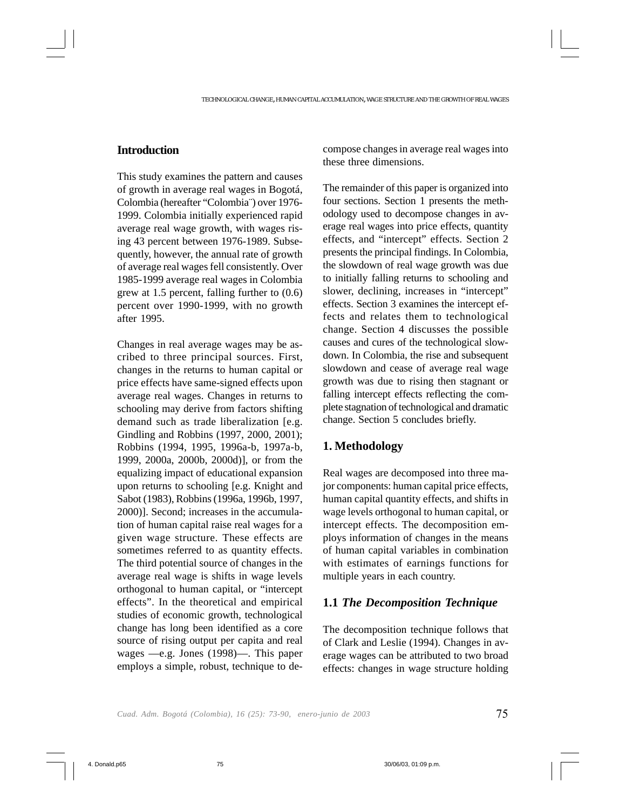## **Introduction**

This study examines the pattern and causes of growth in average real wages in Bogotá, Colombia (hereafter "Colombia¨) over 1976- 1999. Colombia initially experienced rapid average real wage growth, with wages rising 43 percent between 1976-1989. Subsequently, however, the annual rate of growth of average real wages fell consistently. Over 1985-1999 average real wages in Colombia grew at 1.5 percent, falling further to (0.6) percent over 1990-1999, with no growth after 1995.

Changes in real average wages may be ascribed to three principal sources. First, changes in the returns to human capital or price effects have same-signed effects upon average real wages. Changes in returns to schooling may derive from factors shifting demand such as trade liberalization [e.g. Gindling and Robbins (1997, 2000, 2001); Robbins (1994, 1995, 1996a-b, 1997a-b, 1999, 2000a, 2000b, 2000d)], or from the equalizing impact of educational expansion upon returns to schooling [e.g. Knight and Sabot (1983), Robbins (1996a, 1996b, 1997, 2000)]. Second; increases in the accumulation of human capital raise real wages for a given wage structure. These effects are sometimes referred to as quantity effects. The third potential source of changes in the average real wage is shifts in wage levels orthogonal to human capital, or "intercept effects". In the theoretical and empirical studies of economic growth, technological change has long been identified as a core source of rising output per capita and real wages —e.g. Jones (1998)—. This paper employs a simple, robust, technique to decompose changes in average real wages into these three dimensions.

The remainder of this paper is organized into four sections. Section 1 presents the methodology used to decompose changes in average real wages into price effects, quantity effects, and "intercept" effects. Section 2 presents the principal findings. In Colombia, the slowdown of real wage growth was due to initially falling returns to schooling and slower, declining, increases in "intercept" effects. Section 3 examines the intercept effects and relates them to technological change. Section 4 discusses the possible causes and cures of the technological slowdown. In Colombia, the rise and subsequent slowdown and cease of average real wage growth was due to rising then stagnant or falling intercept effects reflecting the complete stagnation of technological and dramatic change. Section 5 concludes briefly.

## **1. Methodology**

Real wages are decomposed into three major components: human capital price effects, human capital quantity effects, and shifts in wage levels orthogonal to human capital, or intercept effects. The decomposition employs information of changes in the means of human capital variables in combination with estimates of earnings functions for multiple years in each country.

## **1.1** *The Decomposition Technique*

The decomposition technique follows that of Clark and Leslie (1994). Changes in average wages can be attributed to two broad effects: changes in wage structure holding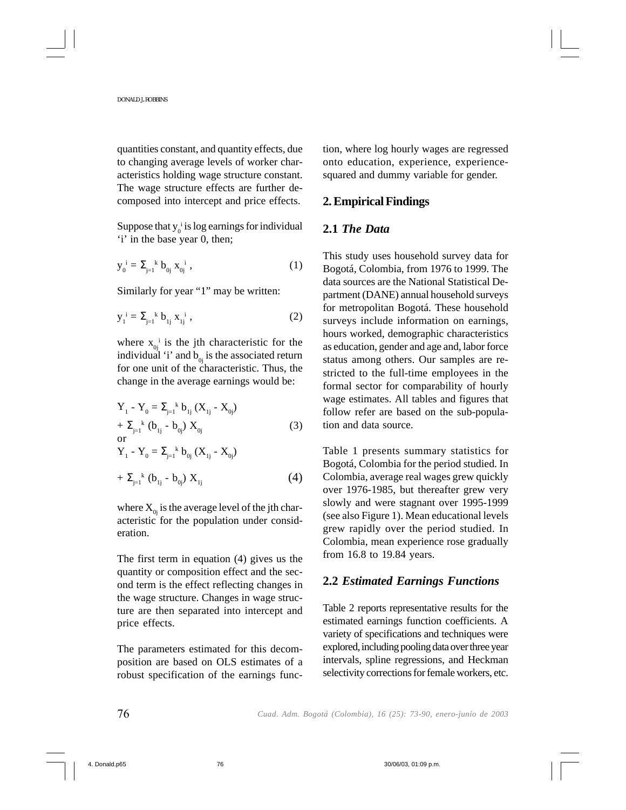quantities constant, and quantity effects, due to changing average levels of worker characteristics holding wage structure constant. The wage structure effects are further decomposed into intercept and price effects.

Suppose that  $y_0$ <sup>i</sup> is log earnings for individual 'i' in the base year 0, then;

$$
y_0^i = \sum_{j=1}^k b_{0j} x_{0j}^i , \qquad (1)
$$

Similarly for year "1" may be written:

$$
y_{1}^{i} = \sum_{j=1}^{k} b_{1j} x_{1j}^{i} , \qquad (2)
$$

where  $x_{0j}$ <sup>i</sup> is the jth characteristic for the individual 'i' and  $b_{0j}$  is the associated return for one unit of the characteristic. Thus, the change in the average earnings would be:

$$
Y_{1} - Y_{0} = \sum_{j=1}^{k} b_{1j} (X_{1j} - X_{0j})
$$
  
+  $\sum_{j=1}^{k} (b_{1j} - b_{0j}) X_{0j}$  (3)  
or  

$$
Y_{1} - Y_{0} = \sum_{j=1}^{k} b_{0j} (X_{1j} - X_{0j})
$$
  
+  $\sum_{j=1}^{k} (b_{1j} - b_{0j}) X_{1j}$  (4)

where  $X_{0i}$  is the average level of the jth characteristic for the population under consideration.

The first term in equation (4) gives us the quantity or composition effect and the second term is the effect reflecting changes in the wage structure. Changes in wage structure are then separated into intercept and price effects.

The parameters estimated for this decomposition are based on OLS estimates of a robust specification of the earnings function, where log hourly wages are regressed onto education, experience, experiencesquared and dummy variable for gender.

## **2. Empirical Findings**

## **2.1** *The Data*

This study uses household survey data for Bogotá, Colombia, from 1976 to 1999. The data sources are the National Statistical Department (DANE) annual household surveys for metropolitan Bogotá. These household surveys include information on earnings, hours worked, demographic characteristics as education, gender and age and, labor force status among others. Our samples are restricted to the full-time employees in the formal sector for comparability of hourly wage estimates. All tables and figures that follow refer are based on the sub-population and data source.

Table 1 presents summary statistics for Bogotá, Colombia for the period studied. In Colombia, average real wages grew quickly over 1976-1985, but thereafter grew very slowly and were stagnant over 1995-1999 (see also Figure 1). Mean educational levels grew rapidly over the period studied. In Colombia, mean experience rose gradually from 16.8 to 19.84 years.

## **2.2** *Estimated Earnings Functions*

Table 2 reports representative results for the estimated earnings function coefficients. A variety of specifications and techniques were explored, including pooling data over three year intervals, spline regressions, and Heckman selectivity corrections for female workers, etc.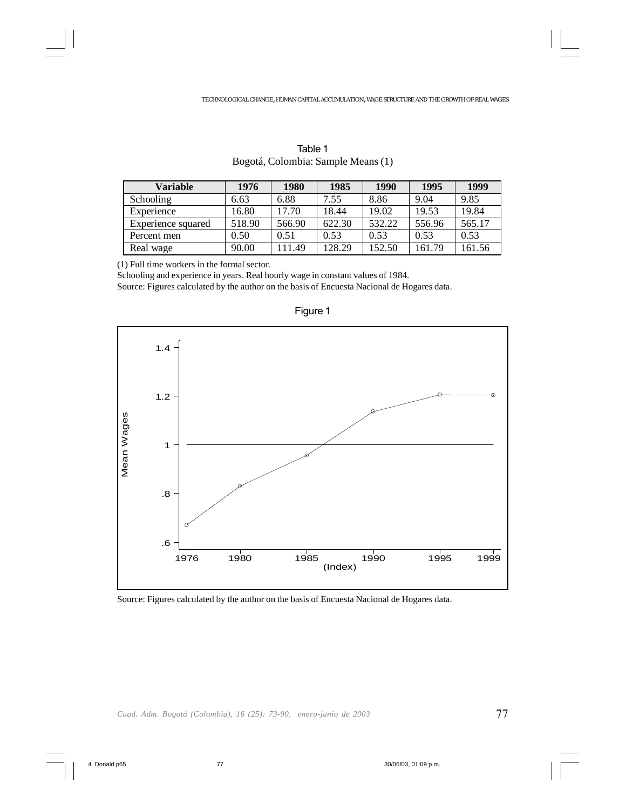| Variable           | 1976   | 1980   | 1985   | 1990   | 1995   | 1999   |
|--------------------|--------|--------|--------|--------|--------|--------|
| Schooling          | 6.63   | 6.88   | 7.55   | 8.86   | 9.04   | 9.85   |
| Experience         | 16.80  | 17.70  | 18.44  | 19.02  | 19.53  | 19.84  |
| Experience squared | 518.90 | 566.90 | 622.30 | 532.22 | 556.96 | 565.17 |
| Percent men        | 0.50   | 0.51   | 0.53   | 0.53   | 0.53   | 0.53   |
| Real wage          | 90.00  | 111.49 | 128.29 | 152.50 | 161.79 | 161.56 |

| Table 1                            |
|------------------------------------|
| Bogotá, Colombia: Sample Means (1) |

(1) Full time workers in the formal sector.

Schooling and experience in years. Real hourly wage in constant values of 1984.

Source: Figures calculated by the author on the basis of Encuesta Nacional de Hogares data.



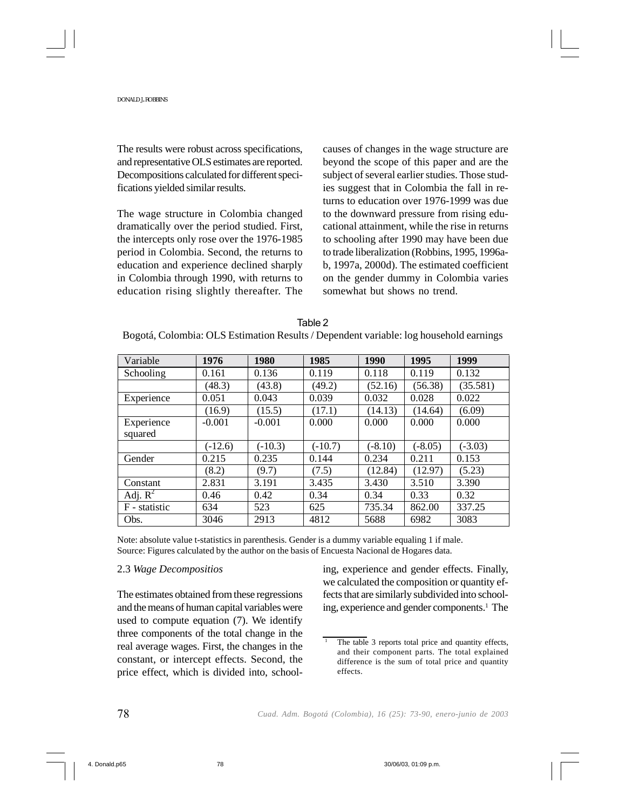The results were robust across specifications, and representative OLS estimates are reported. Decompositions calculated for different specifications yielded similar results.

The wage structure in Colombia changed dramatically over the period studied. First, the intercepts only rose over the 1976-1985 period in Colombia. Second, the returns to education and experience declined sharply in Colombia through 1990, with returns to education rising slightly thereafter. The causes of changes in the wage structure are beyond the scope of this paper and are the subject of several earlier studies. Those studies suggest that in Colombia the fall in returns to education over 1976-1999 was due to the downward pressure from rising educational attainment, while the rise in returns to schooling after 1990 may have been due to trade liberalization (Robbins, 1995, 1996ab, 1997a, 2000d). The estimated coefficient on the gender dummy in Colombia varies somewhat but shows no trend.

| Table 2                                                                               |
|---------------------------------------------------------------------------------------|
| Bogotá, Colombia: OLS Estimation Results / Dependent variable: log household earnings |

| Variable      | 1976      | 1980      | 1985      | 1990      | 1995      | 1999      |
|---------------|-----------|-----------|-----------|-----------|-----------|-----------|
| Schooling     | 0.161     | 0.136     | 0.119     | 0.118     | 0.119     | 0.132     |
|               | (48.3)    | (43.8)    | (49.2)    | (52.16)   | (56.38)   | (35.581)  |
| Experience    | 0.051     | 0.043     | 0.039     | 0.032     | 0.028     | 0.022     |
|               | (16.9)    | (15.5)    | (17.1)    | (14.13)   | (14.64)   | (6.09)    |
| Experience    | $-0.001$  | $-0.001$  | 0.000     | 0.000     | 0.000     | 0.000     |
| squared       |           |           |           |           |           |           |
|               | $(-12.6)$ | $(-10.3)$ | $(-10.7)$ | $(-8.10)$ | $(-8.05)$ | $(-3.03)$ |
| Gender        | 0.215     | 0.235     | 0.144     | 0.234     | 0.211     | 0.153     |
|               | (8.2)     | (9.7)     | (7.5)     | (12.84)   | (12.97)   | (5.23)    |
| Constant      | 2.831     | 3.191     | 3.435     | 3.430     | 3.510     | 3.390     |
| Adj. $R^2$    | 0.46      | 0.42      | 0.34      | 0.34      | 0.33      | 0.32      |
| F - statistic | 634       | 523       | 625       | 735.34    | 862.00    | 337.25    |
| Obs.          | 3046      | 2913      | 4812      | 5688      | 6982      | 3083      |

Note: absolute value t-statistics in parenthesis. Gender is a dummy variable equaling 1 if male. Source: Figures calculated by the author on the basis of Encuesta Nacional de Hogares data.

## 2.3 *Wage Decompositios*

The estimates obtained from these regressions and the means of human capital variables were used to compute equation (7). We identify three components of the total change in the real average wages. First, the changes in the constant, or intercept effects. Second, the price effect, which is divided into, schooling, experience and gender effects. Finally, we calculated the composition or quantity effects that are similarly subdivided into schooling, experience and gender components.<sup>1</sup> The

The table 3 reports total price and quantity effects, and their component parts. The total explained difference is the sum of total price and quantity effects.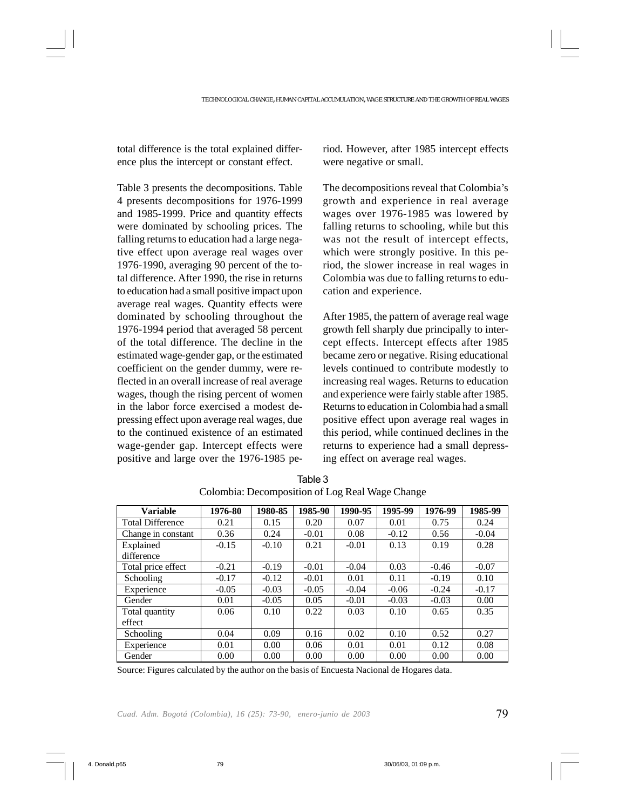total difference is the total explained difference plus the intercept or constant effect.

Table 3 presents the decompositions. Table 4 presents decompositions for 1976-1999 and 1985-1999. Price and quantity effects were dominated by schooling prices. The falling returns to education had a large negative effect upon average real wages over 1976-1990, averaging 90 percent of the total difference. After 1990, the rise in returns to education had a small positive impact upon average real wages. Quantity effects were dominated by schooling throughout the 1976-1994 period that averaged 58 percent of the total difference. The decline in the estimated wage-gender gap, or the estimated coefficient on the gender dummy, were reflected in an overall increase of real average wages, though the rising percent of women in the labor force exercised a modest depressing effect upon average real wages, due to the continued existence of an estimated wage-gender gap. Intercept effects were positive and large over the 1976-1985 period. However, after 1985 intercept effects were negative or small.

The decompositions reveal that Colombia's growth and experience in real average wages over 1976-1985 was lowered by falling returns to schooling, while but this was not the result of intercept effects, which were strongly positive. In this period, the slower increase in real wages in Colombia was due to falling returns to education and experience.

After 1985, the pattern of average real wage growth fell sharply due principally to intercept effects. Intercept effects after 1985 became zero or negative. Rising educational levels continued to contribute modestly to increasing real wages. Returns to education and experience were fairly stable after 1985. Returns to education in Colombia had a small positive effect upon average real wages in this period, while continued declines in the returns to experience had a small depressing effect on average real wages.

| <b>Variable</b>         | 1976-80 | 1980-85 | 1985-90 | 1990-95 | 1995-99 | 1976-99 | 1985-99 |
|-------------------------|---------|---------|---------|---------|---------|---------|---------|
| <b>Total Difference</b> | 0.21    | 0.15    | 0.20    | 0.07    | 0.01    | 0.75    | 0.24    |
| Change in constant      | 0.36    | 0.24    | $-0.01$ | 0.08    | $-0.12$ | 0.56    | $-0.04$ |
| Explained               | $-0.15$ | $-0.10$ | 0.21    | $-0.01$ | 0.13    | 0.19    | 0.28    |
| difference              |         |         |         |         |         |         |         |
| Total price effect      | $-0.21$ | $-0.19$ | $-0.01$ | $-0.04$ | 0.03    | $-0.46$ | $-0.07$ |
| Schooling               | $-0.17$ | $-0.12$ | $-0.01$ | 0.01    | 0.11    | $-0.19$ | 0.10    |
| Experience              | $-0.05$ | $-0.03$ | $-0.05$ | $-0.04$ | $-0.06$ | $-0.24$ | $-0.17$ |
| Gender                  | 0.01    | $-0.05$ | 0.05    | $-0.01$ | $-0.03$ | $-0.03$ | 0.00    |
| Total quantity          | 0.06    | 0.10    | 0.22    | 0.03    | 0.10    | 0.65    | 0.35    |
| effect                  |         |         |         |         |         |         |         |
| Schooling               | 0.04    | 0.09    | 0.16    | 0.02    | 0.10    | 0.52    | 0.27    |
| Experience              | 0.01    | 0.00    | 0.06    | 0.01    | 0.01    | 0.12    | 0.08    |
| Gender                  | 0.00    | 0.00    | 0.00    | 0.00    | 0.00    | 0.00    | 0.00    |

Table 3 Colombia: Decomposition of Log Real Wage Change

Source: Figures calculated by the author on the basis of Encuesta Nacional de Hogares data.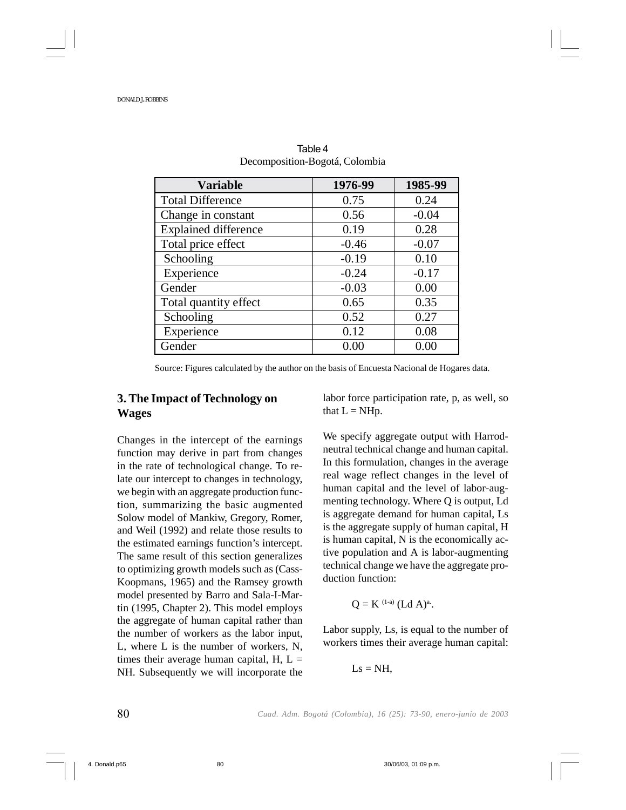| <b>Variable</b>             | 1976-99 | 1985-99 |
|-----------------------------|---------|---------|
| <b>Total Difference</b>     | 0.75    | 0.24    |
| Change in constant          | 0.56    | $-0.04$ |
| <b>Explained difference</b> | 0.19    | 0.28    |
| Total price effect          | $-0.46$ | $-0.07$ |
| Schooling                   | $-0.19$ | 0.10    |
| Experience                  | $-0.24$ | $-0.17$ |
| Gender                      | $-0.03$ | 0.00    |
| Total quantity effect       | 0.65    | 0.35    |
| Schooling                   | 0.52    | 0.27    |
| Experience                  | 0.12    | 0.08    |
| Gender                      | 0.00    | 0.00    |

Table 4 Decomposition-Bogotá, Colombia

Source: Figures calculated by the author on the basis of Encuesta Nacional de Hogares data.

## **3. The Impact of Technology on Wages**

Changes in the intercept of the earnings function may derive in part from changes in the rate of technological change. To relate our intercept to changes in technology, we begin with an aggregate production function, summarizing the basic augmented Solow model of Mankiw, Gregory, Romer, and Weil (1992) and relate those results to the estimated earnings function's intercept. The same result of this section generalizes to optimizing growth models such as (Cass-Koopmans, 1965) and the Ramsey growth model presented by Barro and Sala-I-Martin (1995, Chapter 2). This model employs the aggregate of human capital rather than the number of workers as the labor input, L, where L is the number of workers, N, times their average human capital,  $H$ ,  $L =$ NH. Subsequently we will incorporate the labor force participation rate, p, as well, so that  $L = NHp$ .

We specify aggregate output with Harrodneutral technical change and human capital. In this formulation, changes in the average real wage reflect changes in the level of human capital and the level of labor-augmenting technology. Where Q is output, Ld is aggregate demand for human capital, Ls is the aggregate supply of human capital, H is human capital, N is the economically active population and A is labor-augmenting technical change we have the aggregate production function:

$$
Q = K^{(1-a)} (Ld A)^{a}.
$$

Labor supply, Ls, is equal to the number of workers times their average human capital:

$$
Ls=NH,
$$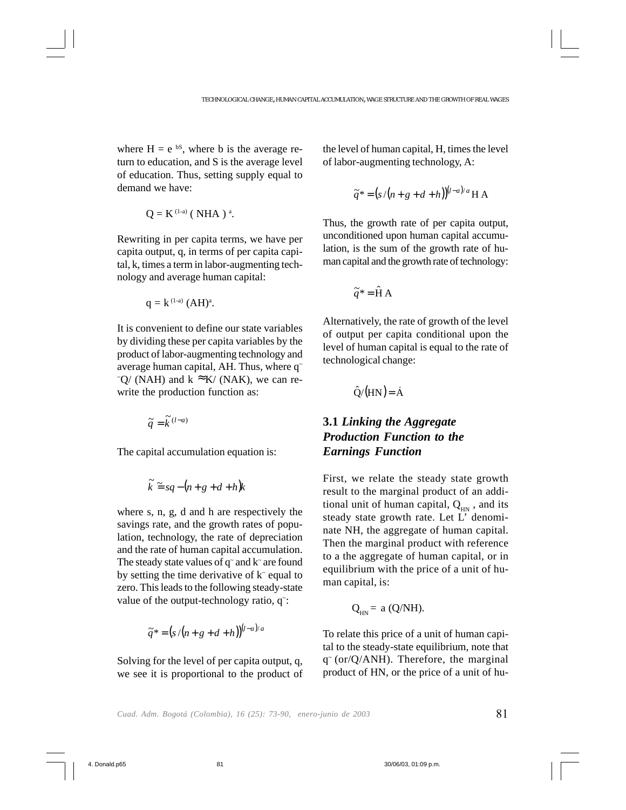where  $H = e^{bS}$ , where b is the average return to education, and S is the average level of education. Thus, setting supply equal to demand we have:

$$
Q = K^{(1-a)}
$$
 ( NHA )<sup>a</sup>.

Rewriting in per capita terms, we have per capita output, q, in terms of per capita capital, k, times a term in labor-augmenting technology and average human capital:

$$
q = k^{(1-a)} (AH)^a
$$
.

It is convenient to define our state variables by dividing these per capita variables by the product of labor-augmenting technology and average human capital, AH. Thus, where q~  $\sim Q$  (NAH) and k  $\approx$  K/ (NAK), we can rewrite the production function as:

$$
\widetilde{q} = \widetilde{k}^{(l-a)}
$$

The capital accumulation equation is:

$$
\widetilde{k} \cong sq - (n + g + d + h)k
$$

where s, n, g, d and h are respectively the savings rate, and the growth rates of population, technology, the rate of depreciation and the rate of human capital accumulation. The steady state values of  $q^{\sim}$  and  $k^{\sim}$  are found by setting the time derivative of  $k<sup>2</sup>$  equal to zero. This leads to the following steady-state value of the output-technology ratio, q<sup>-</sup>:

$$
\widetilde{q}^* = (s/(n+g+d+h))^{(l-a)/a}
$$

Solving for the level of per capita output, q, we see it is proportional to the product of the level of human capital, H, times the level of labor-augmenting technology, A:

$$
\widetilde{q}^* = (s/(n+g+d+h))^{(l-a)/a} \mathbf{H} \mathbf{A}
$$

Thus, the growth rate of per capita output, unconditioned upon human capital accumulation, is the sum of the growth rate of human capital and the growth rate of technology:

$$
\widetilde{q}^* = \widehat{H} A
$$

Alternatively, the rate of growth of the level of output per capita conditional upon the level of human capital is equal to the rate of technological change:

$$
\hat{Q}/(HN) = \dot{A}
$$

## **3.1** *Linking the Aggregate Production Function to the Earnings Function*

First, we relate the steady state growth result to the marginal product of an additional unit of human capital,  $Q_{HN}$ , and its steady state growth rate. Let L' denominate NH, the aggregate of human capital. Then the marginal product with reference to a the aggregate of human capital, or in equilibrium with the price of a unit of human capital, is:

$$
Q_{HN} = a (Q/NH).
$$

To relate this price of a unit of human capital to the steady-state equilibrium, note that  $q^{\sim}$  (or/Q/ANH). Therefore, the marginal product of HN, or the price of a unit of hu-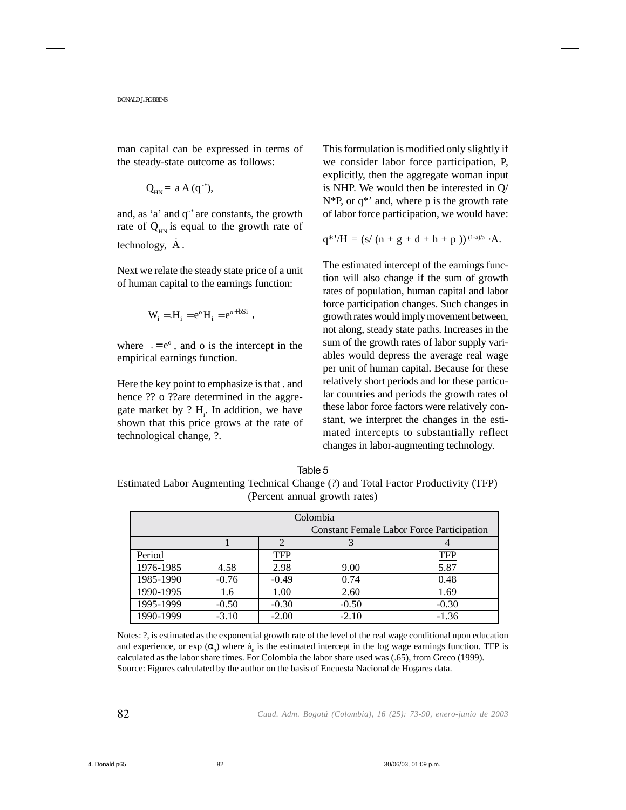man capital can be expressed in terms of the steady-state outcome as follows:

$$
Q_{HN} = a A (q^{-*}),
$$

and, as 'a' and q~\* are constants, the growth rate of  $Q_{HN}$  is equal to the growth rate of technology, A.

Next we relate the steady state price of a unit of human capital to the earnings function:

$$
W_i = H_i = e^{\circ} H_i = e^{\circ + bSi}
$$
,

where  $e^o$ , and o is the intercept in the empirical earnings function.

Here the key point to emphasize is that . and hence ?? o ??are determined in the aggregate market by ?  $H_i$ . In addition, we have shown that this price grows at the rate of technological change, ?.

This formulation is modified only slightly if we consider labor force participation, P, explicitly, then the aggregate woman input is NHP. We would then be interested in Q/  $N*P$ , or  $q*'$  and, where p is the growth rate of labor force participation, we would have:

$$
q^{*}{}' / H = (s/ (n + g + d + h + p\;))^{(1-a)/a} \cdot A.
$$

The estimated intercept of the earnings function will also change if the sum of growth rates of population, human capital and labor force participation changes. Such changes in growth rates would imply movement between, not along, steady state paths. Increases in the sum of the growth rates of labor supply variables would depress the average real wage per unit of human capital. Because for these relatively short periods and for these particular countries and periods the growth rates of these labor force factors were relatively constant, we interpret the changes in the estimated intercepts to substantially reflect changes in labor-augmenting technology.

## Table 5

Estimated Labor Augmenting Technical Change (?) and Total Factor Productivity (TFP) (Percent annual growth rates)

| Colombia                                         |         |            |         |            |  |
|--------------------------------------------------|---------|------------|---------|------------|--|
| <b>Constant Female Labor Force Participation</b> |         |            |         |            |  |
|                                                  |         |            |         |            |  |
| Period                                           |         | <b>TFP</b> |         | <b>TFP</b> |  |
| 1976-1985                                        | 4.58    | 2.98       | 9.00    | 5.87       |  |
| 1985-1990                                        | $-0.76$ | $-0.49$    | 0.74    | 0.48       |  |
| 1990-1995                                        | 1.6     | 1.00       | 2.60    | 1.69       |  |
| 1995-1999                                        | $-0.50$ | $-0.30$    | $-0.50$ | $-0.30$    |  |
| 1990-1999                                        | $-3.10$ | $-2.00$    | $-2.10$ | $-1.36$    |  |

Notes: ?, is estimated as the exponential growth rate of the level of the real wage conditional upon education and experience, or exp  $(\alpha_0)$  where  $\acute{a}_0$  is the estimated intercept in the log wage earnings function. TFP is calculated as the labor share times. For Colombia the labor share used was (.65), from Greco (1999). Source: Figures calculated by the author on the basis of Encuesta Nacional de Hogares data.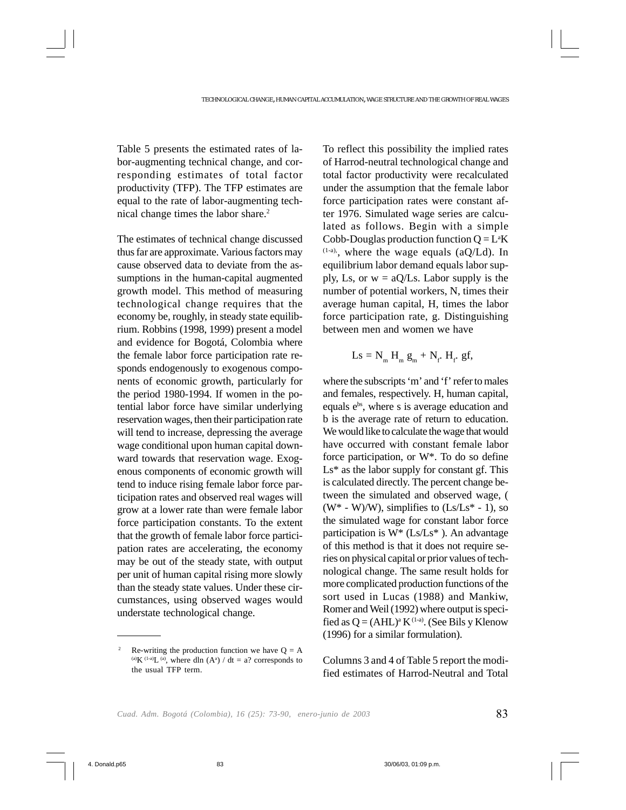Table 5 presents the estimated rates of labor-augmenting technical change, and corresponding estimates of total factor productivity (TFP). The TFP estimates are equal to the rate of labor-augmenting technical change times the labor share.2

The estimates of technical change discussed thus far are approximate. Various factors may cause observed data to deviate from the assumptions in the human-capital augmented growth model. This method of measuring technological change requires that the economy be, roughly, in steady state equilibrium. Robbins (1998, 1999) present a model and evidence for Bogotá, Colombia where the female labor force participation rate responds endogenously to exogenous components of economic growth, particularly for the period 1980-1994. If women in the potential labor force have similar underlying reservation wages, then their participation rate will tend to increase, depressing the average wage conditional upon human capital downward towards that reservation wage. Exogenous components of economic growth will tend to induce rising female labor force participation rates and observed real wages will grow at a lower rate than were female labor force participation constants. To the extent that the growth of female labor force participation rates are accelerating, the economy may be out of the steady state, with output per unit of human capital rising more slowly than the steady state values. Under these circumstances, using observed wages would understate technological change.

To reflect this possibility the implied rates of Harrod-neutral technological change and total factor productivity were recalculated under the assumption that the female labor force participation rates were constant after 1976. Simulated wage series are calculated as follows. Begin with a simple Cobb-Douglas production function  $Q = L<sup>a</sup>K$  $(1-a)$ , where the wage equals  $(aQ/Ld)$ . In equilibrium labor demand equals labor supply, Ls, or  $w = aQ/Ls$ . Labor supply is the number of potential workers, N, times their average human capital, H, times the labor force participation rate, g. Distinguishing between men and women we have

$$
Ls = N_m H_m g_m + N_f H_f g f,
$$

where the subscripts 'm' and 'f' refer to males and females, respectively. H, human capital, equals e<sup>bs</sup>, where s is average education and b is the average rate of return to education. We would like to calculate the wage that would have occurred with constant female labor force participation, or W\*. To do so define Ls\* as the labor supply for constant gf. This is calculated directly. The percent change between the simulated and observed wage, (  $(W^* - W)/W$ , simplifies to  $(Ls/Ls^* - 1)$ , so the simulated wage for constant labor force participation is  $W^*$  (Ls/Ls<sup>\*</sup>). An advantage of this method is that it does not require series on physical capital or prior values of technological change. The same result holds for more complicated production functions of the sort used in Lucas (1988) and Mankiw, Romer and Weil (1992) where output is specified as  $Q = (AHL)^a K^{(1-a)}$ . (See Bils y Klenow (1996) for a similar formulation).

Columns 3 and 4 of Table 5 report the modified estimates of Harrod-Neutral and Total

<sup>&</sup>lt;sup>2</sup> Re-writing the production function we have  $Q = A$ (a) $K^{(1-a)}L^{(a)}$ , where dln  $(A^a) / dt = a$ ? corresponds to the usual TFP term.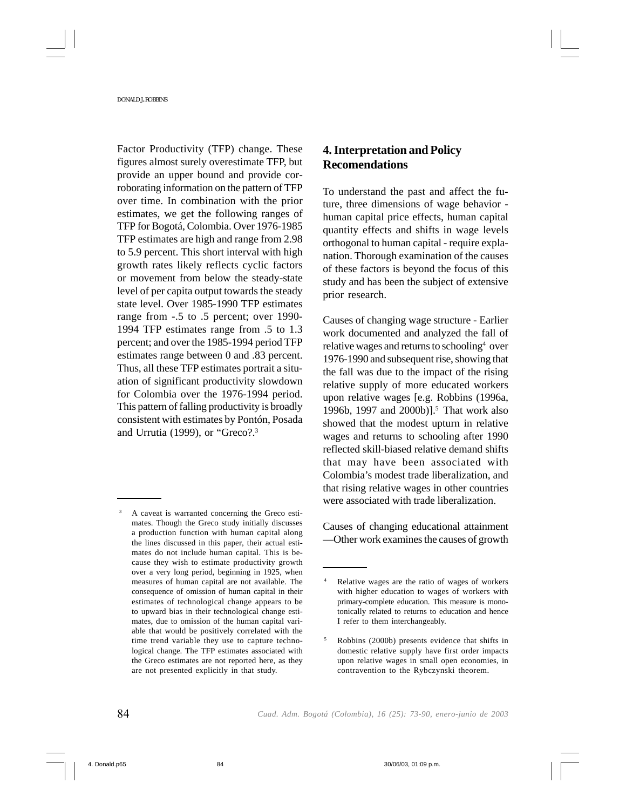Factor Productivity (TFP) change. These figures almost surely overestimate TFP, but provide an upper bound and provide corroborating information on the pattern of TFP over time. In combination with the prior estimates, we get the following ranges of TFP for Bogotá, Colombia. Over 1976-1985 TFP estimates are high and range from 2.98 to 5.9 percent. This short interval with high growth rates likely reflects cyclic factors or movement from below the steady-state level of per capita output towards the steady state level. Over 1985-1990 TFP estimates range from -.5 to .5 percent; over 1990- 1994 TFP estimates range from .5 to 1.3 percent; and over the 1985-1994 period TFP estimates range between 0 and .83 percent. Thus, all these TFP estimates portrait a situation of significant productivity slowdown for Colombia over the 1976-1994 period. This pattern of falling productivity is broadly consistent with estimates by Pontón, Posada and Urrutia (1999), or "Greco?.3

## **4. Interpretation and Policy Recomendations**

To understand the past and affect the future, three dimensions of wage behavior  human capital price effects, human capital quantity effects and shifts in wage levels orthogonal to human capital - require explanation. Thorough examination of the causes of these factors is beyond the focus of this study and has been the subject of extensive prior research.

Causes of changing wage structure - Earlier work documented and analyzed the fall of relative wages and returns to schooling<sup>4</sup> over 1976-1990 and subsequent rise, showing that the fall was due to the impact of the rising relative supply of more educated workers upon relative wages [e.g. Robbins (1996a, 1996b, 1997 and 2000b)].<sup>5</sup> That work also showed that the modest upturn in relative wages and returns to schooling after 1990 reflected skill-biased relative demand shifts that may have been associated with Colombia's modest trade liberalization, and that rising relative wages in other countries were associated with trade liberalization.

Causes of changing educational attainment —Other work examines the causes of growth

<sup>3</sup> A caveat is warranted concerning the Greco estimates. Though the Greco study initially discusses a production function with human capital along the lines discussed in this paper, their actual estimates do not include human capital. This is because they wish to estimate productivity growth over a very long period, beginning in 1925, when measures of human capital are not available. The consequence of omission of human capital in their estimates of technological change appears to be to upward bias in their technological change estimates, due to omission of the human capital variable that would be positively correlated with the time trend variable they use to capture technological change. The TFP estimates associated with the Greco estimates are not reported here, as they are not presented explicitly in that study.

Relative wages are the ratio of wages of workers with higher education to wages of workers with primary-complete education. This measure is monotonically related to returns to education and hence I refer to them interchangeably.

<sup>5</sup> Robbins (2000b) presents evidence that shifts in domestic relative supply have first order impacts upon relative wages in small open economies, in contravention to the Rybczynski theorem.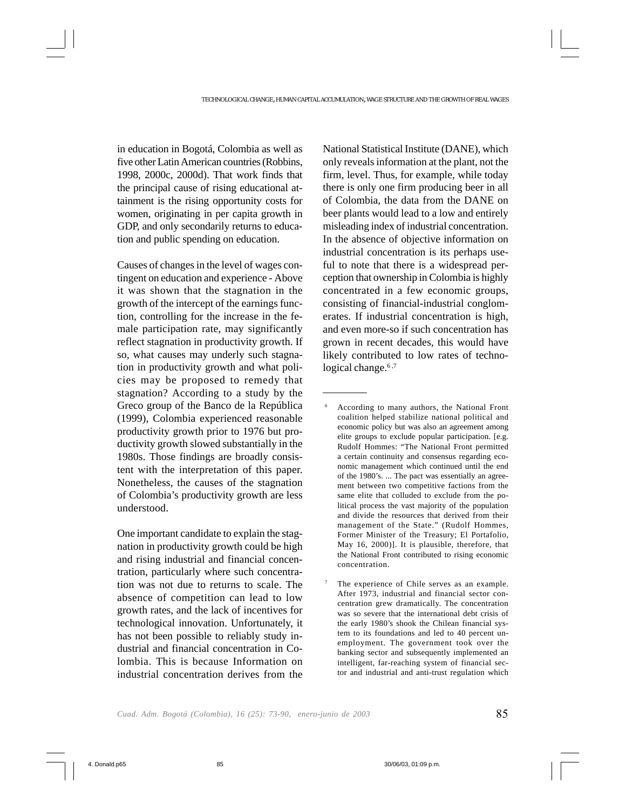in education in Bogotá, Colombia as well as five other Latin American countries (Robbins, 1998, 2000c, 2000d). That work finds that the principal cause of rising educational attainment is the rising opportunity costs for women, originating in per capita growth in GDP, and only secondarily returns to education and public spending on education.

Causes of changes in the level of wages contingent on education and experience - Above it was shown that the stagnation in the growth of the intercept of the earnings function, controlling for the increase in the female participation rate, may significantly reflect stagnation in productivity growth. If so, what causes may underly such stagnation in productivity growth and what policies may be proposed to remedy that stagnation? According to a study by the Greco group of the Banco de la República (1999), Colombia experienced reasonable productivity growth prior to 1976 but productivity growth slowed substantially in the 1980s. Those findings are broadly consistent with the interpretation of this paper. Nonetheless, the causes of the stagnation of Colombia's productivity growth are less understood.

One important candidate to explain the stagnation in productivity growth could be high and rising industrial and financial concentration, particularly where such concentration was not due to returns to scale. The absence of competition can lead to low growth rates, and the lack of incentives for technological innovation. Unfortunately, it has not been possible to reliably study industrial and financial concentration in Colombia. This is because Information on industrial concentration derives from the National Statistical Institute (DANE), which only reveals information at the plant, not the firm, level. Thus, for example, while today there is only one firm producing beer in all of Colombia, the data from the DANE on beer plants would lead to a low and entirely misleading index of industrial concentration. In the absence of objective information on industrial concentration is its perhaps useful to note that there is a widespread perception that ownership in Colombia is highly concentrated in a few economic groups, consisting of financial-industrial conglomerates. If industrial concentration is high, and even more-so if such concentration has grown in recent decades, this would have likely contributed to low rates of technological change. $6,7$ 

<sup>6</sup> According to many authors, the National Front coalition helped stabilize national political and economic policy but was also an agreement among elite groups to exclude popular participation. [e.g. Rudolf Hommes: "The National Front permitted a certain continuity and consensus regarding economic management which continued until the end of the 1980's. ... The pact was essentially an agreement between two competitive factions from the same elite that colluded to exclude from the political process the vast majority of the population and divide the resources that derived from their management of the State." (Rudolf Hommes, Former Minister of the Treasury; El Portafolio, May 16, 2000)]. It is plausible, therefore, that the National Front contributed to rising economic concentration.

The experience of Chile serves as an example. After 1973, industrial and financial sector concentration grew dramatically. The concentration was so severe that the international debt crisis of the early 1980's shook the Chilean financial system to its foundations and led to 40 percent unemployment. The government took over the banking sector and subsequently implemented an intelligent, far-reaching system of financial sector and industrial and anti-trust regulation which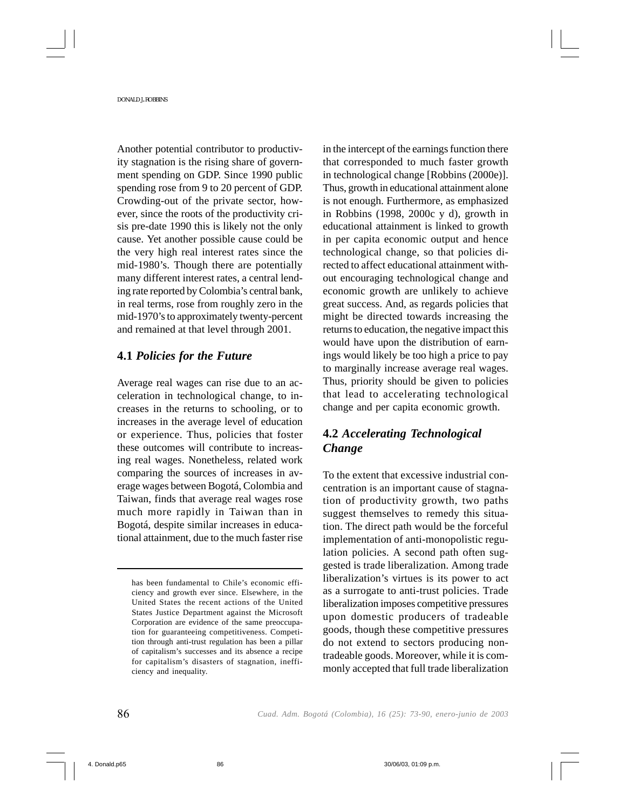Another potential contributor to productivity stagnation is the rising share of government spending on GDP. Since 1990 public spending rose from 9 to 20 percent of GDP. Crowding-out of the private sector, however, since the roots of the productivity crisis pre-date 1990 this is likely not the only cause. Yet another possible cause could be the very high real interest rates since the mid-1980's. Though there are potentially many different interest rates, a central lending rate reported by Colombia's central bank, in real terms, rose from roughly zero in the mid-1970's to approximately twenty-percent and remained at that level through 2001.

## **4.1** *Policies for the Future*

Average real wages can rise due to an acceleration in technological change, to increases in the returns to schooling, or to increases in the average level of education or experience. Thus, policies that foster these outcomes will contribute to increasing real wages. Nonetheless, related work comparing the sources of increases in average wages between Bogotá, Colombia and Taiwan, finds that average real wages rose much more rapidly in Taiwan than in Bogotá, despite similar increases in educational attainment, due to the much faster rise in the intercept of the earnings function there that corresponded to much faster growth in technological change [Robbins (2000e)]. Thus, growth in educational attainment alone is not enough. Furthermore, as emphasized in Robbins (1998, 2000c y d), growth in educational attainment is linked to growth in per capita economic output and hence technological change, so that policies directed to affect educational attainment without encouraging technological change and economic growth are unlikely to achieve great success. And, as regards policies that might be directed towards increasing the returns to education, the negative impact this would have upon the distribution of earnings would likely be too high a price to pay to marginally increase average real wages. Thus, priority should be given to policies that lead to accelerating technological change and per capita economic growth.

## **4.2** *Accelerating Technological Change*

To the extent that excessive industrial concentration is an important cause of stagnation of productivity growth, two paths suggest themselves to remedy this situation. The direct path would be the forceful implementation of anti-monopolistic regulation policies. A second path often suggested is trade liberalization. Among trade liberalization's virtues is its power to act as a surrogate to anti-trust policies. Trade liberalization imposes competitive pressures upon domestic producers of tradeable goods, though these competitive pressures do not extend to sectors producing nontradeable goods. Moreover, while it is commonly accepted that full trade liberalization

has been fundamental to Chile's economic efficiency and growth ever since. Elsewhere, in the United States the recent actions of the United States Justice Department against the Microsoft Corporation are evidence of the same preoccupation for guaranteeing competitiveness. Competition through anti-trust regulation has been a pillar of capitalism's successes and its absence a recipe for capitalism's disasters of stagnation, inefficiency and inequality.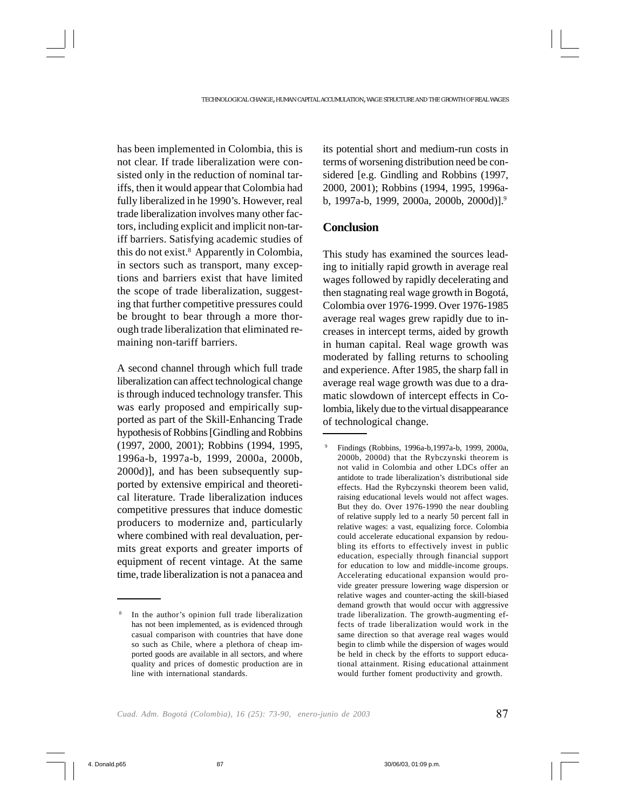has been implemented in Colombia, this is not clear. If trade liberalization were consisted only in the reduction of nominal tariffs, then it would appear that Colombia had fully liberalized in he 1990's. However, real trade liberalization involves many other factors, including explicit and implicit non-tariff barriers. Satisfying academic studies of this do not exist.8 Apparently in Colombia, in sectors such as transport, many exceptions and barriers exist that have limited the scope of trade liberalization, suggesting that further competitive pressures could be brought to bear through a more thorough trade liberalization that eliminated remaining non-tariff barriers.

A second channel through which full trade liberalization can affect technological change is through induced technology transfer. This was early proposed and empirically supported as part of the Skill-Enhancing Trade hypothesis of Robbins [Gindling and Robbins (1997, 2000, 2001); Robbins (1994, 1995, 1996a-b, 1997a-b, 1999, 2000a, 2000b, 2000d)], and has been subsequently supported by extensive empirical and theoretical literature. Trade liberalization induces competitive pressures that induce domestic producers to modernize and, particularly where combined with real devaluation, permits great exports and greater imports of equipment of recent vintage. At the same time, trade liberalization is not a panacea and its potential short and medium-run costs in terms of worsening distribution need be considered [e.g. Gindling and Robbins (1997, 2000, 2001); Robbins (1994, 1995, 1996ab, 1997a-b, 1999, 2000a, 2000b, 2000d)].9

## **Conclusion**

This study has examined the sources leading to initially rapid growth in average real wages followed by rapidly decelerating and then stagnating real wage growth in Bogotá, Colombia over 1976-1999. Over 1976-1985 average real wages grew rapidly due to increases in intercept terms, aided by growth in human capital. Real wage growth was moderated by falling returns to schooling and experience. After 1985, the sharp fall in average real wage growth was due to a dramatic slowdown of intercept effects in Colombia, likely due to the virtual disappearance of technological change.

<sup>8</sup> In the author's opinion full trade liberalization has not been implemented, as is evidenced through casual comparison with countries that have done so such as Chile, where a plethora of cheap imported goods are available in all sectors, and where quality and prices of domestic production are in line with international standards.

<sup>9</sup> Findings (Robbins, 1996a-b,1997a-b, 1999, 2000a, 2000b, 2000d) that the Rybczynski theorem is not valid in Colombia and other LDCs offer an antidote to trade liberalization's distributional side effects. Had the Rybczynski theorem been valid, raising educational levels would not affect wages. But they do. Over 1976-1990 the near doubling of relative supply led to a nearly 50 percent fall in relative wages: a vast, equalizing force. Colombia could accelerate educational expansion by redoubling its efforts to effectively invest in public education, especially through financial support for education to low and middle-income groups. Accelerating educational expansion would provide greater pressure lowering wage dispersion or relative wages and counter-acting the skill-biased demand growth that would occur with aggressive trade liberalization. The growth-augmenting effects of trade liberalization would work in the same direction so that average real wages would begin to climb while the dispersion of wages would be held in check by the efforts to support educational attainment. Rising educational attainment would further foment productivity and growth.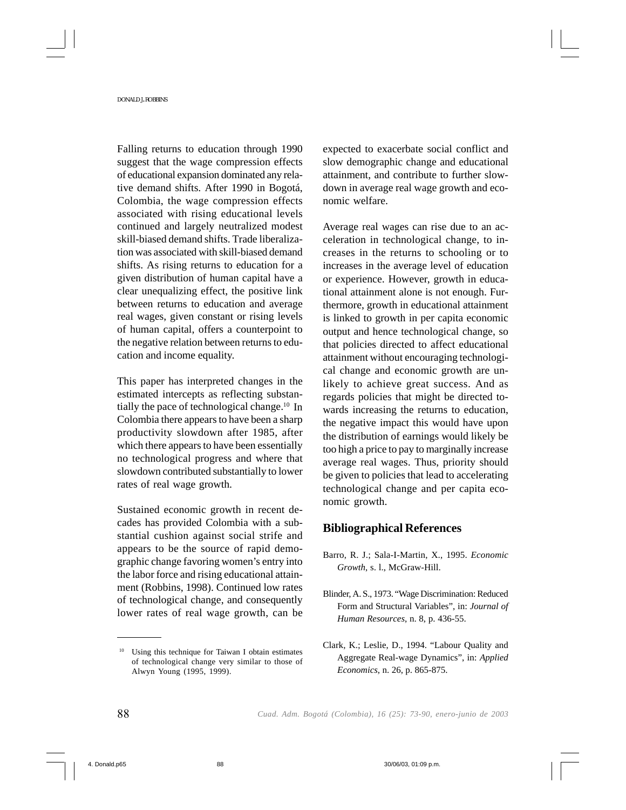Falling returns to education through 1990 suggest that the wage compression effects of educational expansion dominated any relative demand shifts. After 1990 in Bogotá, Colombia, the wage compression effects associated with rising educational levels continued and largely neutralized modest skill-biased demand shifts. Trade liberalization was associated with skill-biased demand shifts. As rising returns to education for a given distribution of human capital have a clear unequalizing effect, the positive link between returns to education and average real wages, given constant or rising levels of human capital, offers a counterpoint to the negative relation between returns to education and income equality.

This paper has interpreted changes in the estimated intercepts as reflecting substantially the pace of technological change.10 In Colombia there appears to have been a sharp productivity slowdown after 1985, after which there appears to have been essentially no technological progress and where that slowdown contributed substantially to lower rates of real wage growth.

Sustained economic growth in recent decades has provided Colombia with a substantial cushion against social strife and appears to be the source of rapid demographic change favoring women's entry into the labor force and rising educational attainment (Robbins, 1998). Continued low rates of technological change, and consequently lower rates of real wage growth, can be expected to exacerbate social conflict and slow demographic change and educational attainment, and contribute to further slowdown in average real wage growth and economic welfare.

Average real wages can rise due to an acceleration in technological change, to increases in the returns to schooling or to increases in the average level of education or experience. However, growth in educational attainment alone is not enough. Furthermore, growth in educational attainment is linked to growth in per capita economic output and hence technological change, so that policies directed to affect educational attainment without encouraging technological change and economic growth are unlikely to achieve great success. And as regards policies that might be directed towards increasing the returns to education, the negative impact this would have upon the distribution of earnings would likely be too high a price to pay to marginally increase average real wages. Thus, priority should be given to policies that lead to accelerating technological change and per capita economic growth.

## **Bibliographical References**

- Barro, R. J.; Sala-I-Martin, X., 1995. *Economic Growth*, s. l., McGraw-Hill.
- Blinder, A. S., 1973. "Wage Discrimination: Reduced Form and Structural Variables", in: *Journal of Human Resources*, n. 8, p. 436-55.
- Clark, K.; Leslie, D., 1994. "Labour Quality and Aggregate Real-wage Dynamics", in: *Applied Economics*, n. 26, p. 865-875.

<sup>10</sup> Using this technique for Taiwan I obtain estimates of technological change very similar to those of Alwyn Young (1995, 1999).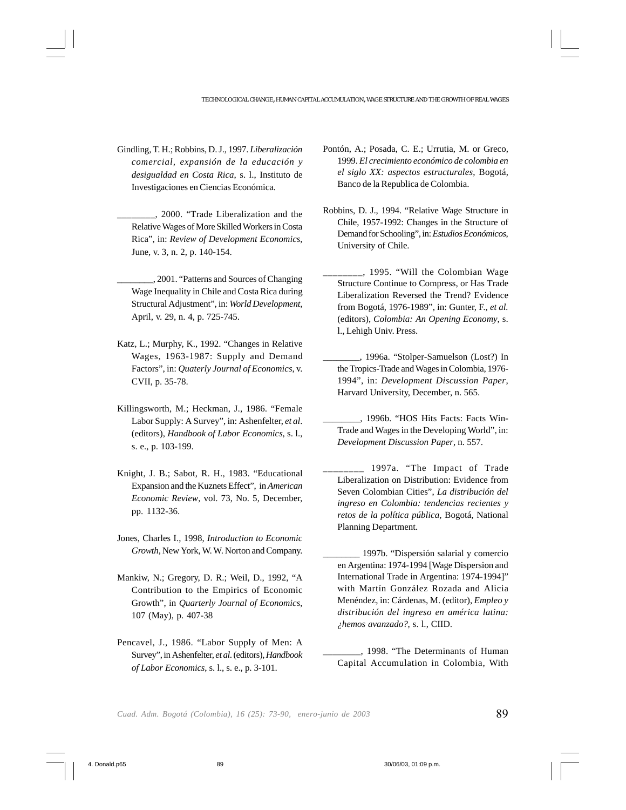- Gindling, T. H.; Robbins, D. J., 1997. *Liberalización comercial, expansión de la educación y desigualdad en Costa Rica*, s. l., Instituto de Investigaciones en Ciencias Económica.
	- \_\_\_\_\_\_\_\_, 2000. "Trade Liberalization and the Relative Wages of More Skilled Workers in Costa Rica", in: *Review of Development Economics*, June, v. 3, n. 2, p. 140-154.
	- \_\_\_\_\_\_\_\_, 2001. "Patterns and Sources of Changing Wage Inequality in Chile and Costa Rica during Structural Adjustment", in: *World Development*, April, v. 29, n. 4, p. 725-745.
- Katz, L.; Murphy, K., 1992. "Changes in Relative Wages, 1963-1987: Supply and Demand Factors", in: *Quaterly Journal of Economics*, v. CVII, p. 35-78.
- Killingsworth, M.; Heckman, J., 1986. "Female Labor Supply: A Survey", in: Ashenfelter, *et al*. (editors), *Handbook of Labor Economics*, s. l., s. e., p. 103-199.
- Knight, J. B.; Sabot, R. H., 1983. "Educational Expansion and the Kuznets Effect", in *American Economic Review*, vol. 73, No. 5, December, pp. 1132-36.
- Jones, Charles I., 1998, *Introduction to Economic Growth*, New York, W. W. Norton and Company.
- Mankiw, N.; Gregory, D. R.; Weil, D., 1992, "A Contribution to the Empirics of Economic Growth", in *Quarterly Journal of Economics*, 107 (May), p. 407-38
- Pencavel, J., 1986. "Labor Supply of Men: A Survey", in Ashenfelter, *et al*. (editors), *Handbook of Labor Economics*, s. l., s. e., p. 3-101.
- Pontón, A.; Posada, C. E.; Urrutia, M. or Greco, 1999. *El crecimiento económico de colombia en el siglo XX: aspectos estructurales*, Bogotá, Banco de la Republica de Colombia.
- Robbins, D. J., 1994. "Relative Wage Structure in Chile, 1957-1992: Changes in the Structure of Demand for Schooling", in: *Estudios Económicos*, University of Chile.
- \_\_\_\_\_\_\_\_, 1995. "Will the Colombian Wage Structure Continue to Compress, or Has Trade Liberalization Reversed the Trend? Evidence from Bogotá, 1976-1989", in: Gunter, F., *et al.* (editors), *Colombia: An Opening Economy*, s. l., Lehigh Univ. Press.
- \_\_\_\_\_\_\_\_, 1996a. "Stolper-Samuelson (Lost?) In the Tropics-Trade and Wages in Colombia, 1976- 1994", in: *Development Discussion Paper*, Harvard University, December, n. 565.
- \_\_\_\_\_\_\_\_, 1996b. "HOS Hits Facts: Facts Win-Trade and Wages in the Developing World", in: *Development Discussion Paper*, n. 557.
- \_\_\_\_\_\_\_\_ 1997a. "The Impact of Trade Liberalization on Distribution: Evidence from Seven Colombian Cities", *La distribución del ingreso en Colombia: tendencias recientes y retos de la política pública,* Bogotá, National Planning Department.
- \_\_\_\_\_\_\_\_ 1997b. "Dispersión salarial y comercio en Argentina: 1974-1994 [Wage Dispersion and International Trade in Argentina: 1974-1994]" with Martín González Rozada and Alicia Menéndez, in: Cárdenas, M. (editor), *Empleo y distribución del ingreso en américa latina: ¿hemos avanzado?*, s. l., CIID.
- \_\_\_\_\_\_\_\_, 1998. "The Determinants of Human Capital Accumulation in Colombia, With